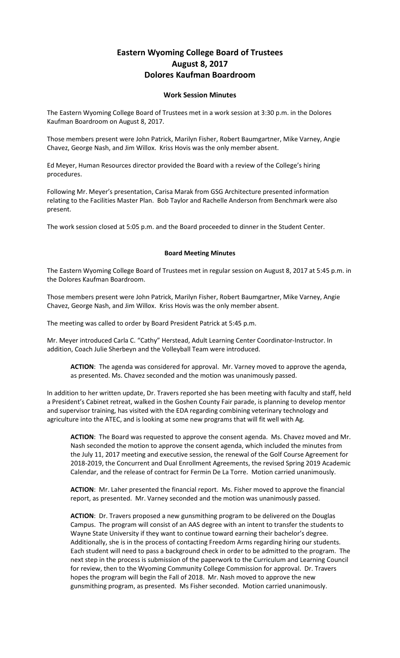## **Eastern Wyoming College Board of Trustees August 8, 2017 Dolores Kaufman Boardroom**

## **Work Session Minutes**

The Eastern Wyoming College Board of Trustees met in a work session at 3:30 p.m. in the Dolores Kaufman Boardroom on August 8, 2017.

Those members present were John Patrick, Marilyn Fisher, Robert Baumgartner, Mike Varney, Angie Chavez, George Nash, and Jim Willox. Kriss Hovis was the only member absent.

Ed Meyer, Human Resources director provided the Board with a review of the College's hiring procedures.

Following Mr. Meyer's presentation, Carisa Marak from GSG Architecture presented information relating to the Facilities Master Plan. Bob Taylor and Rachelle Anderson from Benchmark were also present.

The work session closed at 5:05 p.m. and the Board proceeded to dinner in the Student Center.

## **Board Meeting Minutes**

The Eastern Wyoming College Board of Trustees met in regular session on August 8, 2017 at 5:45 p.m. in the Dolores Kaufman Boardroom.

Those members present were John Patrick, Marilyn Fisher, Robert Baumgartner, Mike Varney, Angie Chavez, George Nash, and Jim Willox. Kriss Hovis was the only member absent.

The meeting was called to order by Board President Patrick at 5:45 p.m.

Mr. Meyer introduced Carla C. "Cathy" Herstead, Adult Learning Center Coordinator-Instructor. In addition, Coach Julie Sherbeyn and the Volleyball Team were introduced.

**ACTION**: The agenda was considered for approval. Mr. Varney moved to approve the agenda, as presented. Ms. Chavez seconded and the motion was unanimously passed.

In addition to her written update, Dr. Travers reported she has been meeting with faculty and staff, held a President's Cabinet retreat, walked in the Goshen County Fair parade, is planning to develop mentor and supervisor training, has visited with the EDA regarding combining veterinary technology and agriculture into the ATEC, and is looking at some new programs that will fit well with Ag.

**ACTION**: The Board was requested to approve the consent agenda. Ms. Chavez moved and Mr. Nash seconded the motion to approve the consent agenda, which included the minutes from the July 11, 2017 meeting and executive session, the renewal of the Golf Course Agreement for 2018-2019, the Concurrent and Dual Enrollment Agreements, the revised Spring 2019 Academic Calendar, and the release of contract for Fermin De La Torre. Motion carried unanimously.

**ACTION**: Mr. Laher presented the financial report. Ms. Fisher moved to approve the financial report, as presented. Mr. Varney seconded and the motion was unanimously passed.

**ACTION**: Dr. Travers proposed a new gunsmithing program to be delivered on the Douglas Campus. The program will consist of an AAS degree with an intent to transfer the students to Wayne State University if they want to continue toward earning their bachelor's degree. Additionally, she is in the process of contacting Freedom Arms regarding hiring our students. Each student will need to pass a background check in order to be admitted to the program. The next step in the process is submission of the paperwork to the Curriculum and Learning Council for review, then to the Wyoming Community College Commission for approval. Dr. Travers hopes the program will begin the Fall of 2018. Mr. Nash moved to approve the new gunsmithing program, as presented. Ms Fisher seconded. Motion carried unanimously.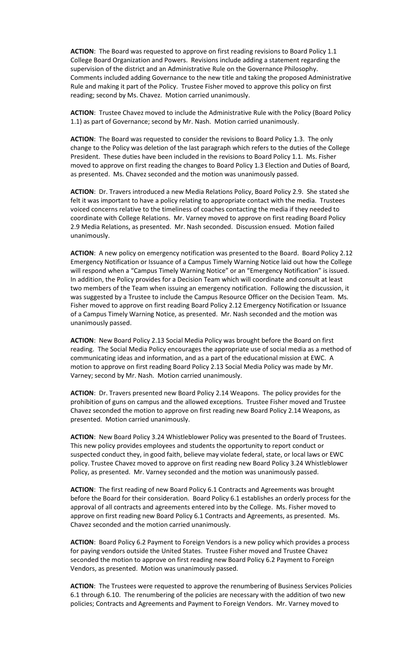**ACTION**: The Board was requested to approve on first reading revisions to Board Policy 1.1 College Board Organization and Powers. Revisions include adding a statement regarding the supervision of the district and an Administrative Rule on the Governance Philosophy. Comments included adding Governance to the new title and taking the proposed Administrative Rule and making it part of the Policy. Trustee Fisher moved to approve this policy on first reading; second by Ms. Chavez. Motion carried unanimously.

**ACTION**: Trustee Chavez moved to include the Administrative Rule with the Policy (Board Policy 1.1) as part of Governance; second by Mr. Nash. Motion carried unanimously.

**ACTION**: The Board was requested to consider the revisions to Board Policy 1.3. The only change to the Policy was deletion of the last paragraph which refers to the duties of the College President. These duties have been included in the revisions to Board Policy 1.1. Ms. Fisher moved to approve on first reading the changes to Board Policy 1.3 Election and Duties of Board, as presented. Ms. Chavez seconded and the motion was unanimously passed.

**ACTION**: Dr. Travers introduced a new Media Relations Policy, Board Policy 2.9. She stated she felt it was important to have a policy relating to appropriate contact with the media. Trustees voiced concerns relative to the timeliness of coaches contacting the media if they needed to coordinate with College Relations. Mr. Varney moved to approve on first reading Board Policy 2.9 Media Relations, as presented. Mr. Nash seconded. Discussion ensued. Motion failed unanimously.

**ACTION**: A new policy on emergency notification was presented to the Board. Board Policy 2.12 Emergency Notification or Issuance of a Campus Timely Warning Notice laid out how the College will respond when a "Campus Timely Warning Notice" or an "Emergency Notification" is issued. In addition, the Policy provides for a Decision Team which will coordinate and consult at least two members of the Team when issuing an emergency notification. Following the discussion, it was suggested by a Trustee to include the Campus Resource Officer on the Decision Team. Ms. Fisher moved to approve on first reading Board Policy 2.12 Emergency Notification or Issuance of a Campus Timely Warning Notice, as presented. Mr. Nash seconded and the motion was unanimously passed.

**ACTION**: New Board Policy 2.13 Social Media Policy was brought before the Board on first reading. The Social Media Policy encourages the appropriate use of social media as a method of communicating ideas and information, and as a part of the educational mission at EWC. A motion to approve on first reading Board Policy 2.13 Social Media Policy was made by Mr. Varney; second by Mr. Nash. Motion carried unanimously.

**ACTION**: Dr. Travers presented new Board Policy 2.14 Weapons. The policy provides for the prohibition of guns on campus and the allowed exceptions. Trustee Fisher moved and Trustee Chavez seconded the motion to approve on first reading new Board Policy 2.14 Weapons, as presented. Motion carried unanimously.

**ACTION**: New Board Policy 3.24 Whistleblower Policy was presented to the Board of Trustees. This new policy provides employees and students the opportunity to report conduct or suspected conduct they, in good faith, believe may violate federal, state, or local laws or EWC policy. Trustee Chavez moved to approve on first reading new Board Policy 3.24 Whistleblower Policy, as presented. Mr. Varney seconded and the motion was unanimously passed.

**ACTION**: The first reading of new Board Policy 6.1 Contracts and Agreements was brought before the Board for their consideration. Board Policy 6.1 establishes an orderly process for the approval of all contracts and agreements entered into by the College. Ms. Fisher moved to approve on first reading new Board Policy 6.1 Contracts and Agreements, as presented. Ms. Chavez seconded and the motion carried unanimously.

**ACTION**: Board Policy 6.2 Payment to Foreign Vendors is a new policy which provides a process for paying vendors outside the United States. Trustee Fisher moved and Trustee Chavez seconded the motion to approve on first reading new Board Policy 6.2 Payment to Foreign Vendors, as presented. Motion was unanimously passed.

**ACTION**: The Trustees were requested to approve the renumbering of Business Services Policies 6.1 through 6.10. The renumbering of the policies are necessary with the addition of two new policies; Contracts and Agreements and Payment to Foreign Vendors. Mr. Varney moved to